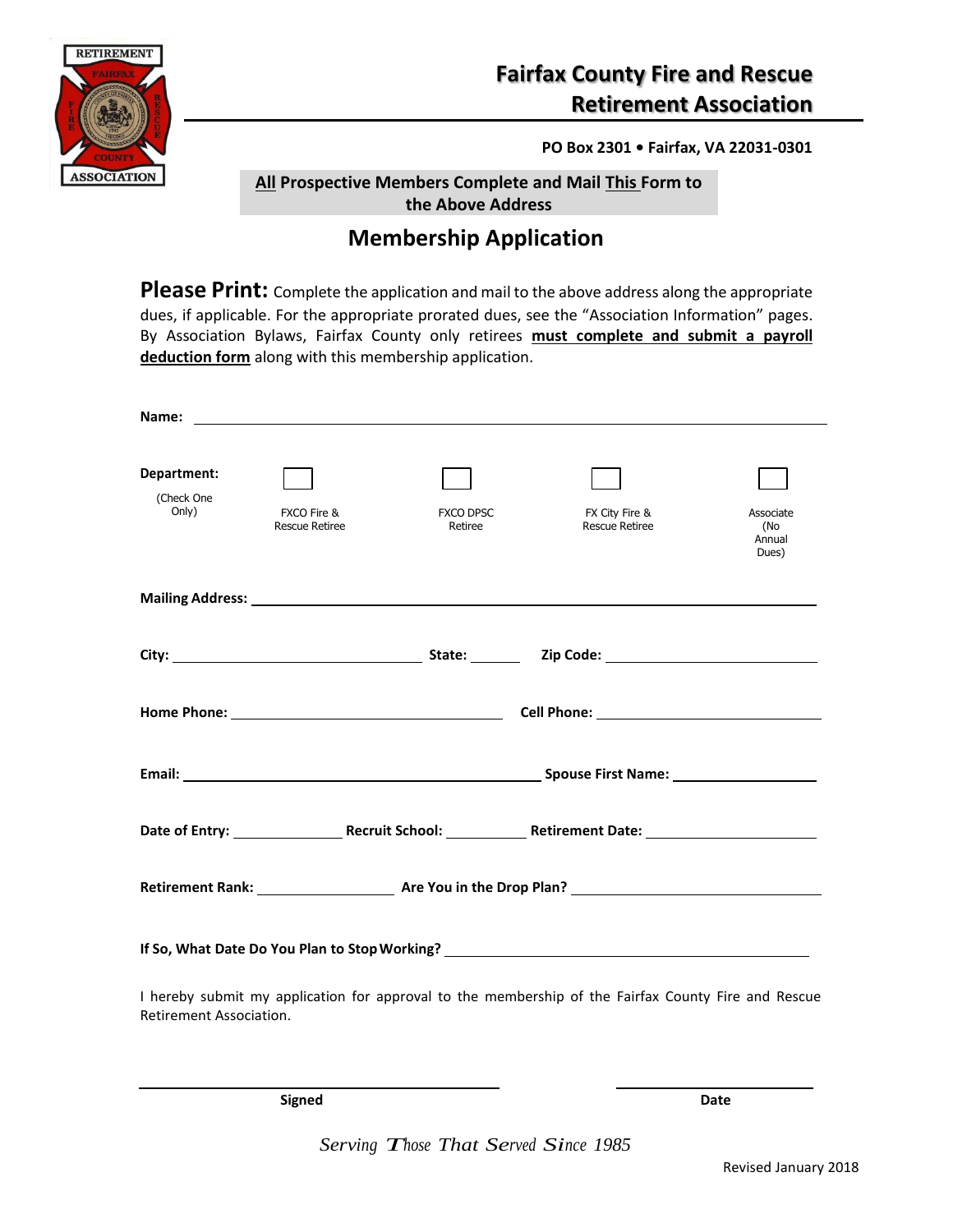

### **Fairfax County Fire and Rescue Retirement Association**

**PO Box 2301 • Fairfax, VA 22031-0301**

**All Prospective Members Complete and Mail This Form to the Above Address**

Re

#### **Membership Application**

Please Print: Complete the application and mail to the above address along the appropriate dues, if applicable. For the appropriate prorated dues, see the "Association Information" pages. By Association Bylaws, Fairfax County only retirees **must complete and submit a payroll deduction form** along with this membership application.

| Department:<br>(Check One<br>Only)                                               | FXCO Fire &<br><b>Rescue Retiree</b> | <b>FXCO DPSC</b><br>Retiree | FX City Fire &<br><b>Rescue Retiree</b>                                                                                                                                                                                        | Associate<br>(No<br>Annual<br>Dues) |  |
|----------------------------------------------------------------------------------|--------------------------------------|-----------------------------|--------------------------------------------------------------------------------------------------------------------------------------------------------------------------------------------------------------------------------|-------------------------------------|--|
|                                                                                  |                                      |                             | Mailing Address: Lawrence and Contract and Contract and Contract and Contract and Contract and Contract and Contract and Contract and Contract and Contract and Contract and Contract and Contract and Contract and Contract a |                                     |  |
|                                                                                  |                                      |                             |                                                                                                                                                                                                                                |                                     |  |
|                                                                                  |                                      |                             |                                                                                                                                                                                                                                |                                     |  |
|                                                                                  |                                      |                             |                                                                                                                                                                                                                                |                                     |  |
|                                                                                  |                                      |                             |                                                                                                                                                                                                                                |                                     |  |
|                                                                                  |                                      |                             |                                                                                                                                                                                                                                |                                     |  |
| If So, What Date Do You Plan to Stop Working? __________________________________ |                                      |                             |                                                                                                                                                                                                                                |                                     |  |
| Retirement Association.                                                          |                                      |                             | I hereby submit my application for approval to the membership of the Fairfax County Fire and Rescue                                                                                                                            |                                     |  |

**Signed Date**

*Serving Those That Served Since <sup>1985</sup>*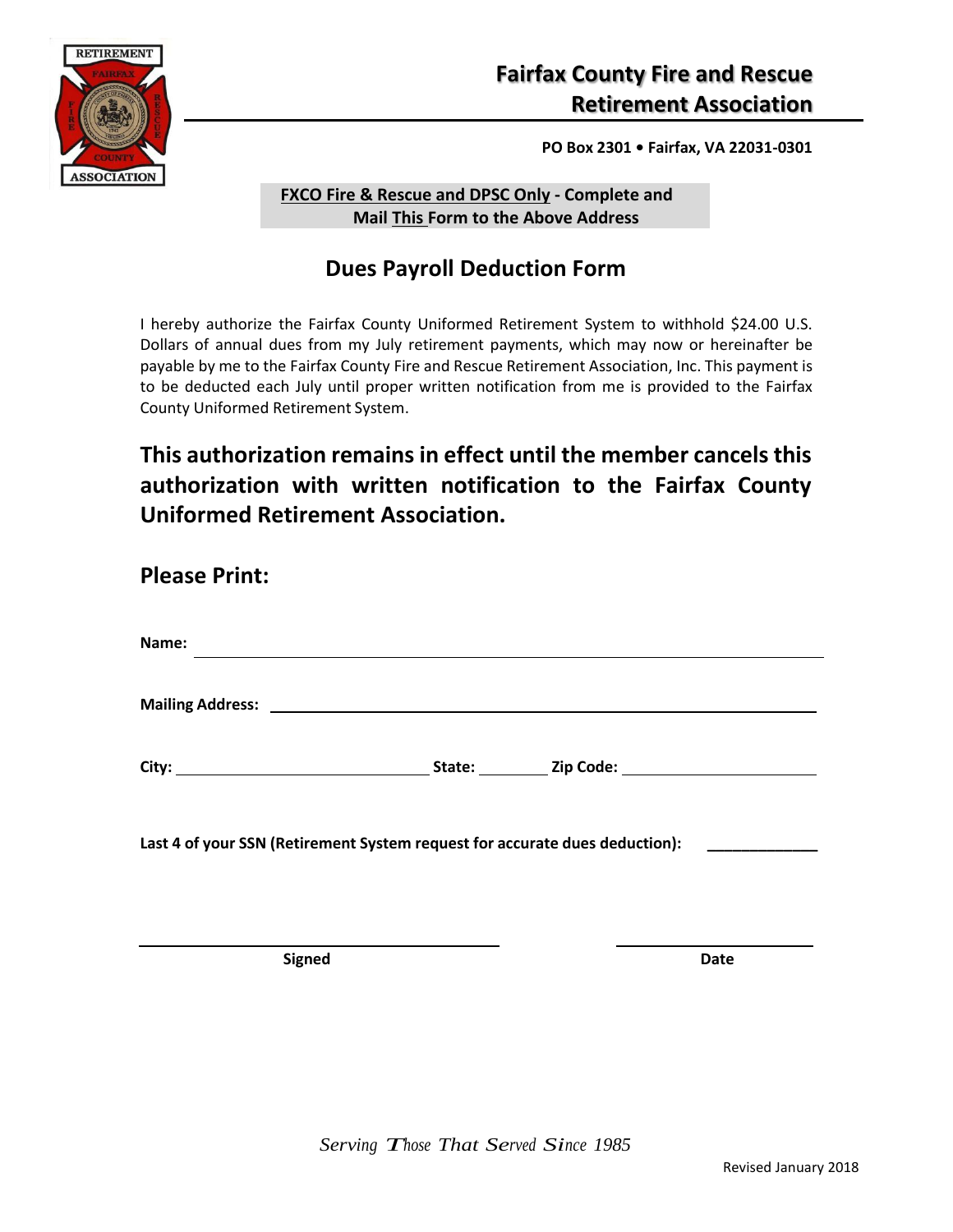

**PO Box 2301 • Fairfax, VA 22031-0301**

**FXCO Fire & Rescue and DPSC Only - Complete and Mail This Form to the Above Address**

Re

## **Dues Payroll Deduction Form**

I hereby authorize the Fairfax County Uniformed Retirement System to withhold \$24.00 U.S. Dollars of annual dues from my July retirement payments, which may now or hereinafter be payable by me to the Fairfax County Fire and Rescue Retirement Association, Inc. This payment is to be deducted each July until proper written notification from me is provided to the Fairfax County Uniformed Retirement System.

## **This authorization remains in effect until the member cancels this authorization with written notification to the Fairfax County Uniformed Retirement Association.**

| <b>Please Print:</b>                                                        |                                                             |  |
|-----------------------------------------------------------------------------|-------------------------------------------------------------|--|
| Name:                                                                       | <u> 1989 - Andrea Stadt Britain, amerikansk politiker (</u> |  |
|                                                                             |                                                             |  |
|                                                                             |                                                             |  |
| Last 4 of your SSN (Retirement System request for accurate dues deduction): |                                                             |  |

**Signed Date**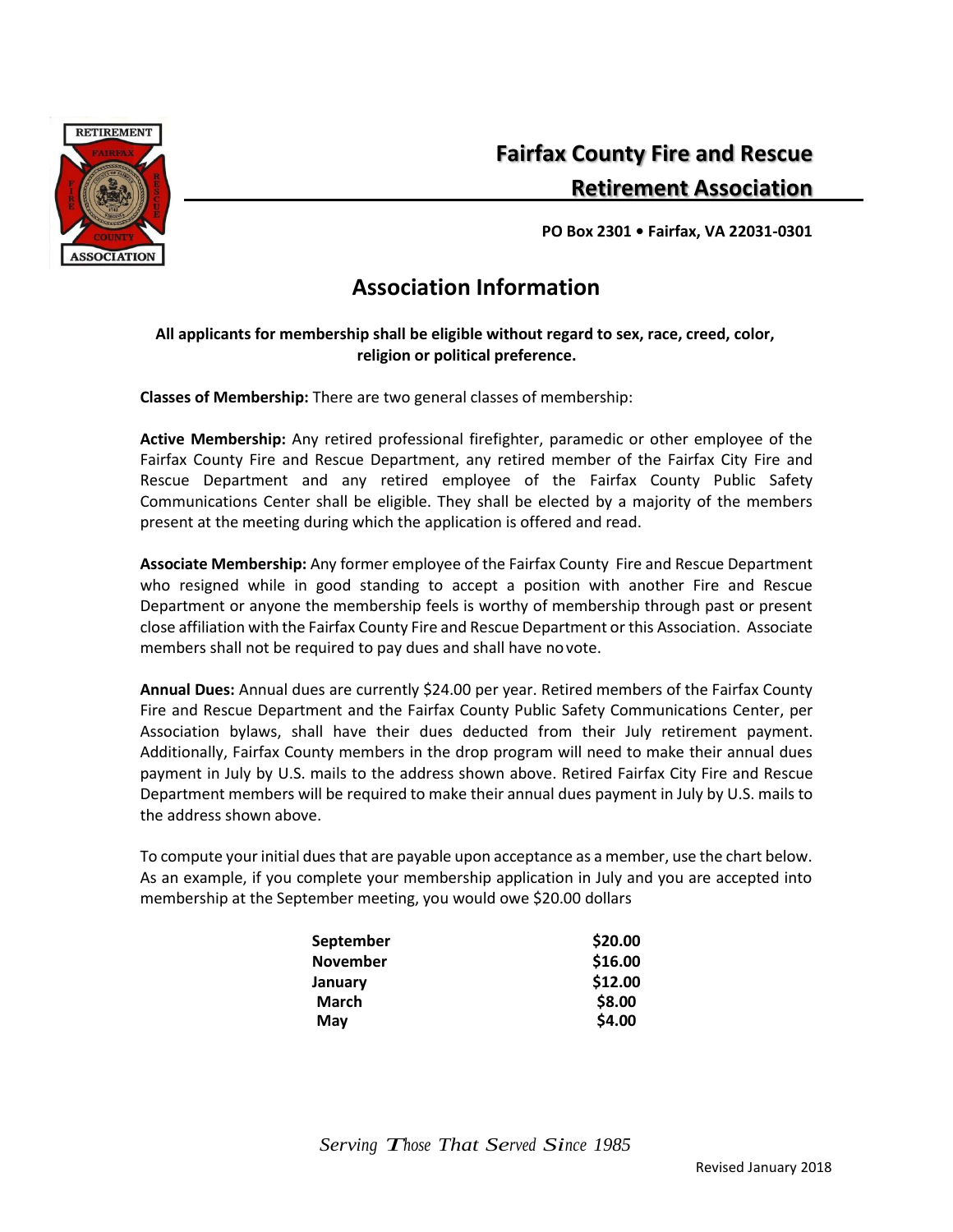

**Complete and Mail This Form to the Above Address Retirement Association Fairfax County Fire and Rescue**

**PO Box 2301 • Fairfax, VA 22031-0301**

#### **Association Information**

Re

#### **All applicants for membership shall be eligible without regard to sex, race, creed, color, religion or political preference.**

**Classes of Membership:** There are two general classes of membership:

**Active Membership:** Any retired professional firefighter, paramedic or other employee of the Fairfax County Fire and Rescue Department, any retired member of the Fairfax City Fire and Rescue Department and any retired employee of the Fairfax County Public Safety Communications Center shall be eligible. They shall be elected by a majority of the members present at the meeting during which the application is offered and read.

**Associate Membership:** Any former employee of the Fairfax County Fire and Rescue Department who resigned while in good standing to accept a position with another Fire and Rescue Department or anyone the membership feels is worthy of membership through past or present close affiliation with the Fairfax County Fire and Rescue Department or this Association. Associate members shall not be required to pay dues and shall have novote.

**Annual Dues:** Annual dues are currently \$24.00 per year. Retired members of the Fairfax County Fire and Rescue Department and the Fairfax County Public Safety Communications Center, per Association bylaws, shall have their dues deducted from their July retirement payment. Additionally, Fairfax County members in the drop program will need to make their annual dues payment in July by U.S. mails to the address shown above. Retired Fairfax City Fire and Rescue Department members will be required to make their annual dues payment in July by U.S. mails to the address shown above.

To compute your initial dues that are payable upon acceptance as a member, use the chart below. As an example, if you complete your membership application in July and you are accepted into membership at the September meeting, you would owe \$20.00 dollars

| \$20.00 |
|---------|
| \$16.00 |
| \$12.00 |
| \$8.00  |
| \$4.00  |
|         |